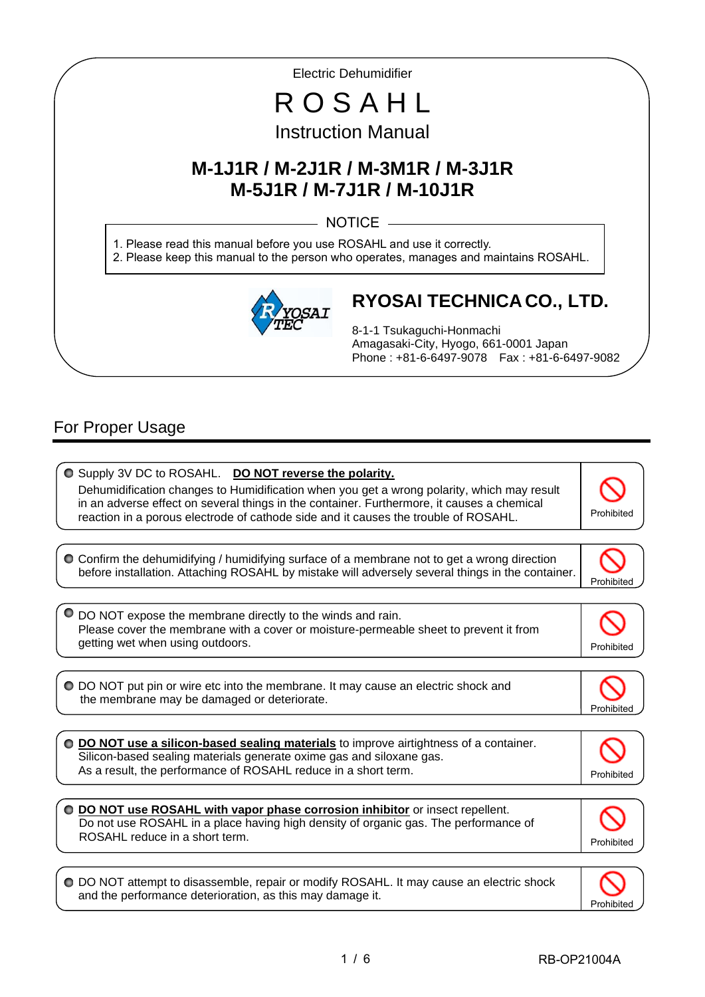Electric Dehumidifier

# R O S A H L Instruction Manual

# **M-1J1R / M-2J1R / M-3M1R / M-3J1R M-5J1R / M-7J1R / M-10J1R**

 $-$  NOTICE  $-$ 

1. Please read this manual before you use ROSAHL and use it correctly. 2. Please keep this manual to the person who operates, manages and maintains ROSAHL.



# **RYOSAI TECHNICA CO., LTD.**

8-1-1 Tsukaguchi-Honmachi Amagasaki-City, Hyogo, 661-0001 Japan Phone : +81-6-6497-9078 Fax : +81-6-6497-9082

# For Proper Usage

I

I

| O Supply 3V DC to ROSAHL. DO NOT reverse the polarity.<br>Dehumidification changes to Humidification when you get a wrong polarity, which may result<br>in an adverse effect on several things in the container. Furthermore, it causes a chemical<br>reaction in a porous electrode of cathode side and it causes the trouble of ROSAHL. | Prohibited       |
|-------------------------------------------------------------------------------------------------------------------------------------------------------------------------------------------------------------------------------------------------------------------------------------------------------------------------------------------|------------------|
|                                                                                                                                                                                                                                                                                                                                           |                  |
| O Confirm the dehumidifying / humidifying surface of a membrane not to get a wrong direction<br>before installation. Attaching ROSAHL by mistake will adversely several things in the container.                                                                                                                                          | <b>Prohibite</b> |
|                                                                                                                                                                                                                                                                                                                                           |                  |
| DO NOT expose the membrane directly to the winds and rain.<br>Please cover the membrane with a cover or moisture-permeable sheet to prevent it from                                                                                                                                                                                       |                  |
| getting wet when using outdoors.                                                                                                                                                                                                                                                                                                          | Prohibited       |
|                                                                                                                                                                                                                                                                                                                                           |                  |
| ● DO NOT put pin or wire etc into the membrane. It may cause an electric shock and<br>the membrane may be damaged or deteriorate.                                                                                                                                                                                                         | Prohibite        |
|                                                                                                                                                                                                                                                                                                                                           |                  |
| ○ DO NOT use a silicon-based sealing materials to improve airtightness of a container.<br>Silicon-based sealing materials generate oxime gas and siloxane gas.                                                                                                                                                                            |                  |
| As a result, the performance of ROSAHL reduce in a short term.                                                                                                                                                                                                                                                                            | Prohibite        |
|                                                                                                                                                                                                                                                                                                                                           |                  |
| DO NOT use ROSAHL with vapor phase corrosion inhibitor or insect repellent.<br>Do not use ROSAHL in a place having high density of organic gas. The performance of                                                                                                                                                                        |                  |
| ROSAHL reduce in a short term.                                                                                                                                                                                                                                                                                                            | Prohibited       |
|                                                                                                                                                                                                                                                                                                                                           |                  |
| ○ DO NOT attempt to disassemble, repair or modify ROSAHL. It may cause an electric shock<br>and the performance deterioration, as this may damage it.                                                                                                                                                                                     | Prohibit         |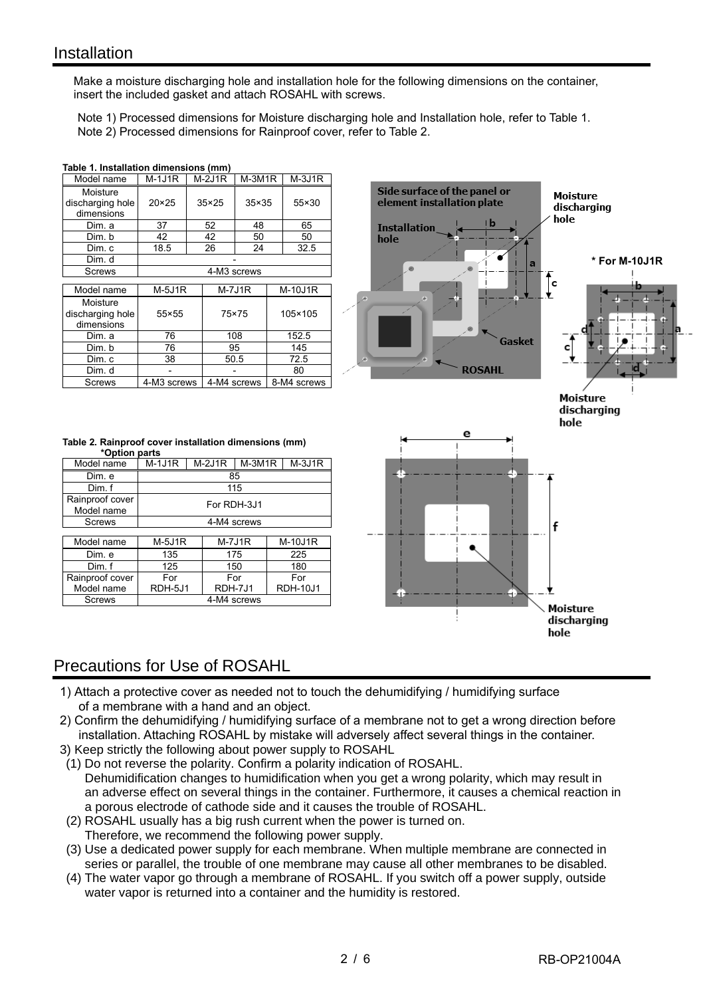I

Make a moisture discharging hole and installation hole for the following dimensions on the container, insert the included gasket and attach ROSAHL with screws.

 Note 1) Processed dimensions for Moisture discharging hole and Installation hole, refer to Table 1. Note 2) Processed dimensions for Rainproof cover, refer to Table 2.

| Model name                                 | $M-1J1R$       | $M-2J1R$     | $M-3M1R$       | $M-3J1R$ |         |  |
|--------------------------------------------|----------------|--------------|----------------|----------|---------|--|
| Moisture<br>discharging hole<br>dimensions | $20 \times 25$ | $35\times25$ | $35 \times 35$ | 55×30    |         |  |
| Dim. a                                     | 37             | 52           | 48             |          | 65      |  |
| Dim. b                                     | 42             | 42           | 50             |          | 50      |  |
| Dim. c                                     | 18.5           | 26           | 24             |          | 32.5    |  |
| Dim. d                                     |                |              |                |          |         |  |
| Screws                                     |                | 4-M3 screws  |                |          |         |  |
| Model name                                 | $M-5J1R$       |              | $M-7J1R$       |          | M-10J1R |  |
| Moisture<br>discharging hole<br>dimensions | 55×55          |              | 75×75          |          | 105×105 |  |
|                                            |                |              |                |          |         |  |
| Dim. a                                     | 76             |              | 108            |          | 152.5   |  |
| Dim. b                                     | 76             |              | 95             |          | 145     |  |
| Dim. c                                     | 38             |              | 50.5           |          | 72.5    |  |
| Dim. d                                     |                |              |                |          | 80      |  |

#### **Table 1. Installation dimensions (mm)**

|               | Table 2. Rainproof cover installation dimensions (mm) |  |
|---------------|-------------------------------------------------------|--|
| *Option parts |                                                       |  |

| Model name                    | M-1J1R      | $M-2J1R$ | M-3M1R      | $M-3J1R$ |  |  |
|-------------------------------|-------------|----------|-------------|----------|--|--|
| Dim. e                        |             |          | 85          |          |  |  |
| Dim f                         | 115         |          |             |          |  |  |
| Rainproof cover<br>Model name |             |          | For RDH-3J1 |          |  |  |
| <b>Screws</b>                 | 4-M4 screws |          |             |          |  |  |
|                               |             |          |             |          |  |  |

| Model name      | $M-5J1R$ | $M-7J1R$    | <b>M-10J1R</b>  |
|-----------------|----------|-------------|-----------------|
| Dim. e          | 135      | 175         | 225             |
| Dim.f           | 125      | 150         | 180             |
| Rainproof cover | For      | For         | For             |
| Model name      | RDH-5J1  | RDH-7J1     | <b>RDH-10J1</b> |
| Screws          |          | 4-M4 screws |                 |



### Precautions for Use of ROSAHL

- 1) Attach a protective cover as needed not to touch the dehumidifying / humidifying surface of a membrane with a hand and an object.
- 2) Confirm the dehumidifying / humidifying surface of a membrane not to get a wrong direction before installation. Attaching ROSAHL by mistake will adversely affect several things in the container.
- 3) Keep strictly the following about power supply to ROSAHL
- (1) Do not reverse the polarity. Confirm a polarity indication of ROSAHL. Dehumidification changes to humidification when you get a wrong polarity, which may result in an adverse effect on several things in the container. Furthermore, it causes a chemical reaction in a porous electrode of cathode side and it causes the trouble of ROSAHL.
- (2) ROSAHL usually has a big rush current when the power is turned on. Therefore, we recommend the following power supply.
- (3) Use a dedicated power supply for each membrane. When multiple membrane are connected in series or parallel, the trouble of one membrane may cause all other membranes to be disabled.
- (4) The water vapor go through a membrane of ROSAHL. If you switch off a power supply, outside water vapor is returned into a container and the humidity is restored.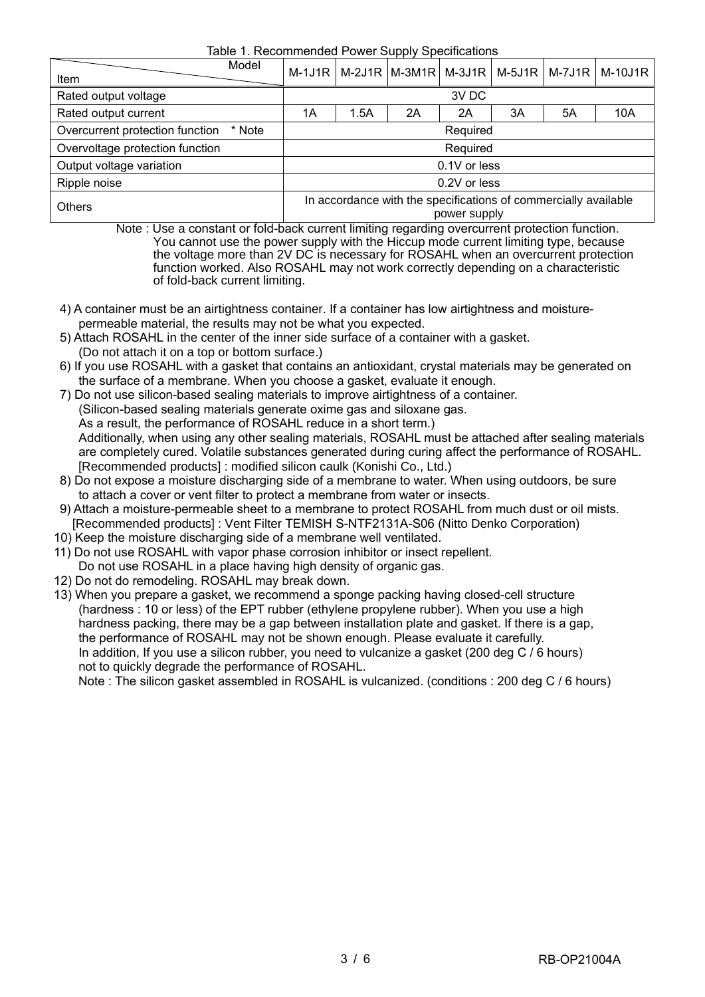Table 1. Recommended Power Supply Specifications

| Item                            | Model        |                                                                                 |      |    |              |    |    | M-1J1R   M-2J1R   M-3M1R   M-3J1R   M-5J1R   M-7J1R   M-10J1R |
|---------------------------------|--------------|---------------------------------------------------------------------------------|------|----|--------------|----|----|---------------------------------------------------------------|
| Rated output voltage            |              |                                                                                 |      |    | 3V DC        |    |    |                                                               |
| Rated output current            |              | 1Α                                                                              | 1.5A | 2A | 2A           | 3A | 5A | 10A                                                           |
| Overcurrent protection function | Required     |                                                                                 |      |    |              |    |    |                                                               |
| Overvoltage protection function | Required     |                                                                                 |      |    |              |    |    |                                                               |
| Output voltage variation        | 0.1V or less |                                                                                 |      |    |              |    |    |                                                               |
| Ripple noise                    |              |                                                                                 |      |    | 0.2V or less |    |    |                                                               |
| <b>Others</b>                   |              | In accordance with the specifications of commercially available<br>power supply |      |    |              |    |    |                                                               |

 Note : Use a constant or fold-back current limiting regarding overcurrent protection function. You cannot use the power supply with the Hiccup mode current limiting type, because the voltage more than 2V DC is necessary for ROSAHL when an overcurrent protection function worked. Also ROSAHL may not work correctly depending on a characteristic of fold-back current limiting.

- 4) A container must be an airtightness container. If a container has low airtightness and moisture permeable material, the results may not be what you expected.
- 5) Attach ROSAHL in the center of the inner side surface of a container with a gasket. (Do not attach it on a top or bottom surface.)
- 6) If you use ROSAHL with a gasket that contains an antioxidant, crystal materials may be generated on the surface of a membrane. When you choose a gasket, evaluate it enough.
- 7) Do not use silicon-based sealing materials to improve airtightness of a container. (Silicon-based sealing materials generate oxime gas and siloxane gas. As a result, the performance of ROSAHL reduce in a short term.) Additionally, when using any other sealing materials, ROSAHL must be attached after sealing materials are completely cured. Volatile substances generated during curing affect the performance of ROSAHL. [Recommended products] : modified silicon caulk (Konishi Co., Ltd.)
- 8) Do not expose a moisture discharging side of a membrane to water. When using outdoors, be sure to attach a cover or vent filter to protect a membrane from water or insects.
- 9) Attach a moisture-permeable sheet to a membrane to protect ROSAHL from much dust or oil mists. [Recommended products] : Vent Filter TEMISH S-NTF2131A-S06 (Nitto Denko Corporation)
- 10) Keep the moisture discharging side of a membrane well ventilated.
- 11) Do not use ROSAHL with vapor phase corrosion inhibitor or insect repellent.
- Do not use ROSAHL in a place having high density of organic gas.
- 12) Do not do remodeling. ROSAHL may break down.
- 13) When you prepare a gasket, we recommend a sponge packing having closed-cell structure (hardness : 10 or less) of the EPT rubber (ethylene propylene rubber). When you use a high hardness packing, there may be a gap between installation plate and gasket. If there is a gap, the performance of ROSAHL may not be shown enough. Please evaluate it carefully. In addition, If you use a silicon rubber, you need to vulcanize a gasket (200 deg C / 6 hours) not to quickly degrade the performance of ROSAHL.

Note : The silicon gasket assembled in ROSAHL is vulcanized. (conditions : 200 deg C / 6 hours)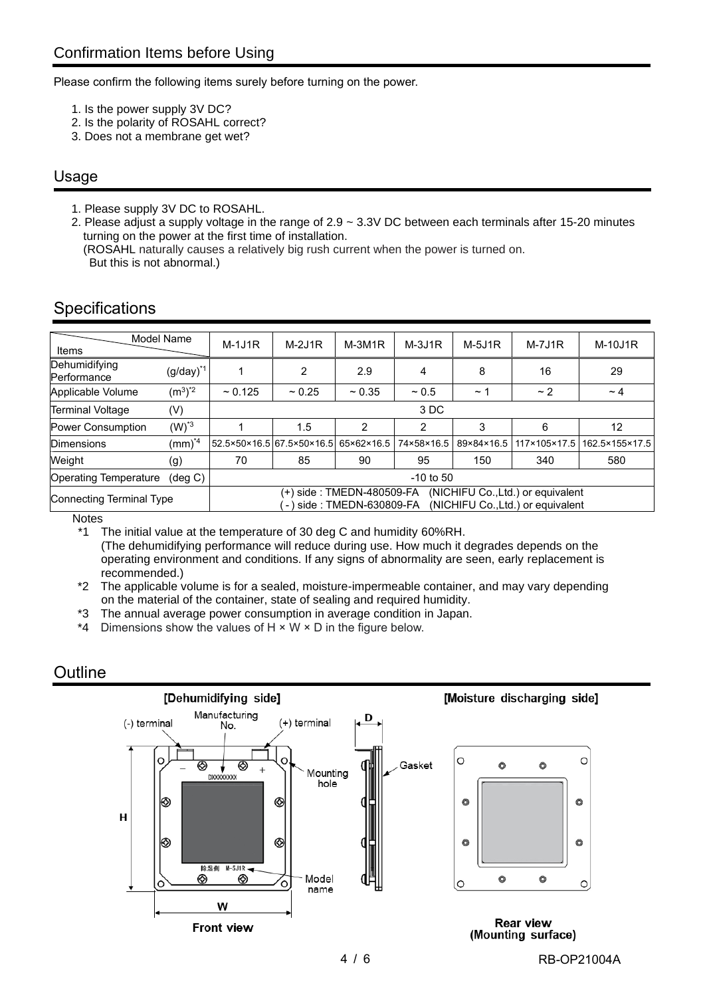Please confirm the following items surely before turning on the power.

- 1. Is the power supply 3V DC?
- 2. Is the polarity of ROSAHL correct?
- 3. Does not a membrane get wet?

#### Usage

1. Please supply 3V DC to ROSAHL.

2. Please adjust a supply voltage in the range of 2.9 ~ 3.3V DC between each terminals after 15-20 minutes turning on the power at the first time of installation.

(ROSAHL naturally causes a relatively big rush current when the power is turned on. But this is not abnormal.)

| Model Name<br>Items                               |                        | $M-1J1R$                              | $M-2J1R$                | $M-3M1R$  | $M-3J1R$   | $M-5J1R$                                                               | $M-7J1R$     | M-10J1R        |
|---------------------------------------------------|------------------------|---------------------------------------|-------------------------|-----------|------------|------------------------------------------------------------------------|--------------|----------------|
| Dehumidifying<br>Performance                      | $(g/day)^{*1}$         |                                       | 2                       | 2.9       | 4          | 8                                                                      | 16           | 29             |
| Applicable Volume                                 | $(m^3)^*$ <sup>2</sup> | ~125                                  | $~1$ 0.25               | $~1$ 0.35 | $~1$ 0.5   | $~\sim$ 1                                                              | ~2           | $\sim$ 4       |
| <b>Terminal Voltage</b>                           | (V)                    |                                       |                         |           | 3 DC       |                                                                        |              |                |
| <b>Power Consumption</b>                          | $(W)*3$                |                                       | 1.5                     | 2         | 2          | 3                                                                      | 6            | 12             |
| <b>Dimensions</b>                                 | $(mm)^{*4}$            | l52.5×50×16.5l67.5×50×16.5l65×62×16.5 |                         |           | 74×58×16.5 | 89×84×16.5                                                             | 117×105×17.5 | 162.5×155×17.5 |
| Weight                                            | (g)                    | 70                                    | 85                      | 90        | 95         | 150                                                                    | 340          | 580            |
| <b>Operating Temperature</b><br>$(\text{deg } C)$ |                        | $-10$ to 50                           |                         |           |            |                                                                        |              |                |
| Connecting Terminal Type                          |                        | - 1                                   | ⊧side : TMEDN-630809-FA |           |            | (NICHIFU Co., Ltd.) or equivalent<br>(NICHIFU Co., Ltd.) or equivalent |              |                |

### **Specifications**

**Notes** 

\*1 The initial value at the temperature of 30 deg C and humidity 60%RH. (The dehumidifying performance will reduce during use. How much it degrades depends on the operating environment and conditions. If any signs of abnormality are seen, early replacement is recommended.)

\*2 The applicable volume is for a sealed, moisture-impermeable container, and may vary depending on the material of the container, state of sealing and required humidity.

- \*3 The annual average power consumption in average condition in Japan.
- \*4 Dimensions show the values of H × W × D in the figure below.

### **Outline**

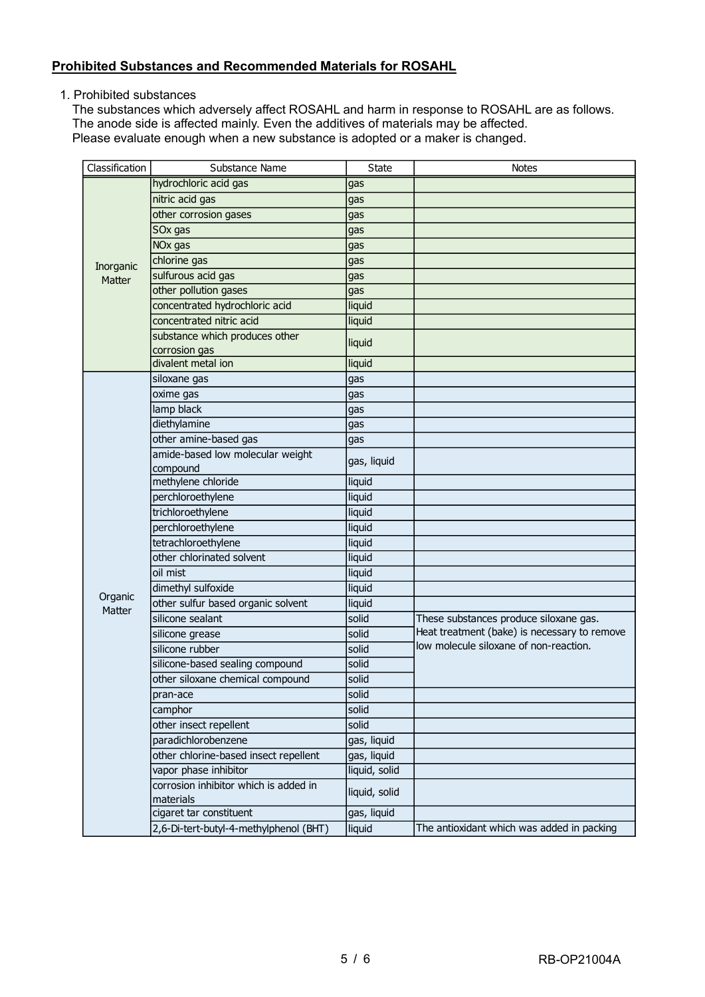#### **Prohibited Substances and Recommended Materials for ROSAHL**

1. Prohibited substances

The substances which adversely affect ROSAHL and harm in response to ROSAHL are as follows. The anode side is affected mainly. Even the additives of materials may be affected. Please evaluate enough when a new substance is adopted or a maker is changed.

| Classification | Substance Name                                     | <b>State</b>  | <b>Notes</b>                                 |
|----------------|----------------------------------------------------|---------------|----------------------------------------------|
|                | hydrochloric acid gas                              | gas           |                                              |
|                | nitric acid gas                                    | gas           |                                              |
|                | other corrosion gases                              | gas           |                                              |
|                | SOx gas                                            | gas           |                                              |
|                | NO <sub>x</sub> gas                                | gas           |                                              |
| Inorganic      | chlorine gas                                       | gas           |                                              |
| Matter         | sulfurous acid gas                                 | gas           |                                              |
|                | other pollution gases                              | gas           |                                              |
|                | concentrated hydrochloric acid                     | liquid        |                                              |
|                | concentrated nitric acid                           | liquid        |                                              |
|                | substance which produces other<br>corrosion gas    | liquid        |                                              |
|                | divalent metal ion                                 | liquid        |                                              |
|                | siloxane gas                                       | gas           |                                              |
|                | oxime gas                                          | gas           |                                              |
|                | lamp black                                         | gas           |                                              |
|                | diethylamine                                       | gas           |                                              |
|                | other amine-based gas                              | gas           |                                              |
|                | amide-based low molecular weight                   | gas, liquid   |                                              |
|                | compound                                           |               |                                              |
|                | methylene chloride                                 | liquid        |                                              |
|                | perchloroethylene                                  | liquid        |                                              |
|                | trichloroethylene                                  | liquid        |                                              |
|                | perchloroethylene                                  | liquid        |                                              |
|                | tetrachloroethylene                                | liquid        |                                              |
|                | other chlorinated solvent                          | liquid        |                                              |
|                | oil mist                                           | liquid        |                                              |
| Organic        | dimethyl sulfoxide                                 | liquid        |                                              |
| Matter         | other sulfur based organic solvent                 | liquid        |                                              |
|                | silicone sealant                                   | solid         | These substances produce siloxane gas.       |
|                | silicone grease                                    | solid         | Heat treatment (bake) is necessary to remove |
|                | silicone rubber                                    | solid         | low molecule siloxane of non-reaction.       |
|                | silicone-based sealing compound                    | solid         |                                              |
|                | other siloxane chemical compound                   | solid         |                                              |
|                | pran-ace                                           | solid         |                                              |
|                | camphor                                            | solid         |                                              |
|                | other insect repellent                             | solid         |                                              |
|                | paradichlorobenzene                                | gas, liquid   |                                              |
|                | other chlorine-based insect repellent              | gas, liquid   |                                              |
|                | vapor phase inhibitor                              | liquid, solid |                                              |
|                | corrosion inhibitor which is added in<br>materials | liquid, solid |                                              |
|                | cigaret tar constituent                            | gas, liquid   |                                              |
|                | 2,6-Di-tert-butyl-4-methylphenol (BHT)             | liquid        | The antioxidant which was added in packing   |